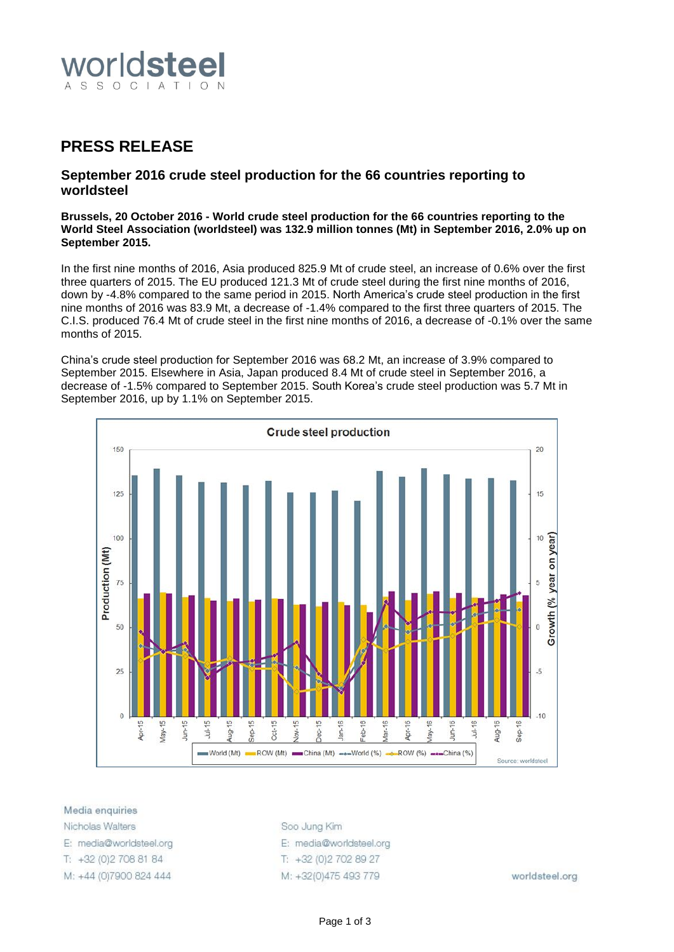

## **PRESS RELEASE**

## **September 2016 crude steel production for the 66 countries reporting to worldsteel**

**Brussels, 20 October 2016 - World crude steel production for the 66 countries reporting to the World Steel Association (worldsteel) was 132.9 million tonnes (Mt) in September 2016, 2.0% up on September 2015.**

In the first nine months of 2016, Asia produced 825.9 Mt of crude steel, an increase of 0.6% over the first three quarters of 2015. The EU produced 121.3 Mt of crude steel during the first nine months of 2016, down by -4.8% compared to the same period in 2015. North America's crude steel production in the first nine months of 2016 was 83.9 Mt, a decrease of -1.4% compared to the first three quarters of 2015. The C.I.S. produced 76.4 Mt of crude steel in the first nine months of 2016, a decrease of -0.1% over the same months of 2015.

China's crude steel production for September 2016 was 68.2 Mt, an increase of 3.9% compared to September 2015. Elsewhere in Asia, Japan produced 8.4 Mt of crude steel in September 2016, a decrease of -1.5% compared to September 2015. South Korea's crude steel production was 5.7 Mt in September 2016, up by 1.1% on September 2015.



Media enquiries

Nicholas Walters E: media@worldsteel.org T: +32 (0) 2 708 81 84 M: +44 (0)7900 824 444 Soo Jung Kim E: media@worldsteel.org T: +32 (0) 2 70 2 89 27 M: +32(0)475 493 779

worldsteel.org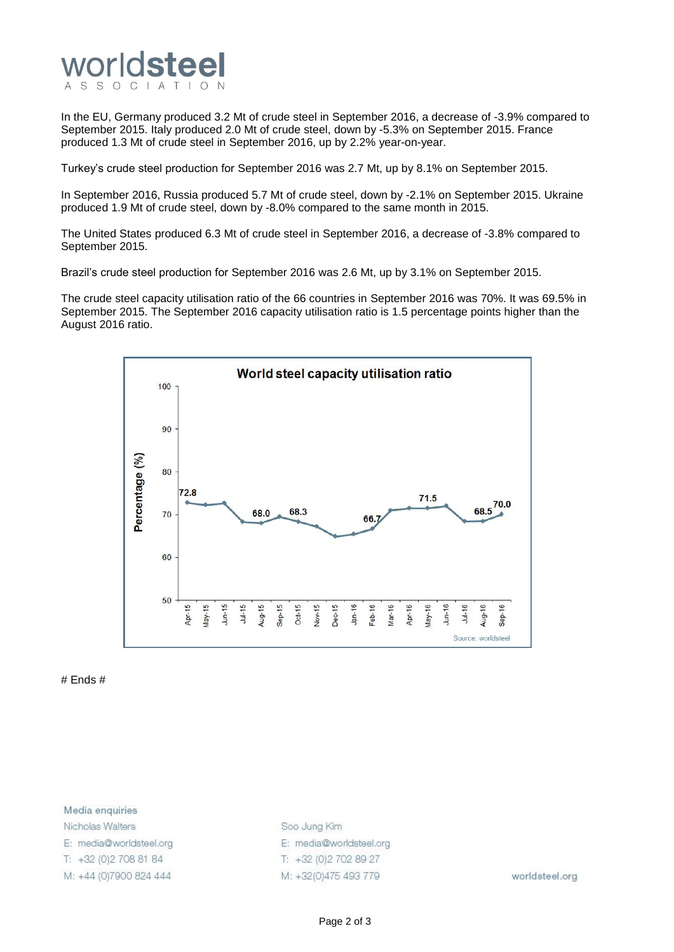

In the EU, Germany produced 3.2 Mt of crude steel in September 2016, a decrease of -3.9% compared to September 2015. Italy produced 2.0 Mt of crude steel, down by -5.3% on September 2015. France produced 1.3 Mt of crude steel in September 2016, up by 2.2% year-on-year.

Turkey's crude steel production for September 2016 was 2.7 Mt, up by 8.1% on September 2015.

In September 2016, Russia produced 5.7 Mt of crude steel, down by -2.1% on September 2015. Ukraine produced 1.9 Mt of crude steel, down by -8.0% compared to the same month in 2015.

The United States produced 6.3 Mt of crude steel in September 2016, a decrease of -3.8% compared to September 2015.

Brazil's crude steel production for September 2016 was 2.6 Mt, up by 3.1% on September 2015.

The crude steel capacity utilisation ratio of the 66 countries in September 2016 was 70%. It was 69.5% in September 2015. The September 2016 capacity utilisation ratio is 1.5 percentage points higher than the August 2016 ratio.



# Ends #

Media enquiries Nicholas Walters E: media@worldsteel.org T: +32 (0) 2 708 81 84 M: +44 (0)7900 824 444

Soo Jung Kim E: media@worldsteel.org T: +32 (0) 2 70 2 89 27 M: +32(0)475 493 779

worldsteel.org